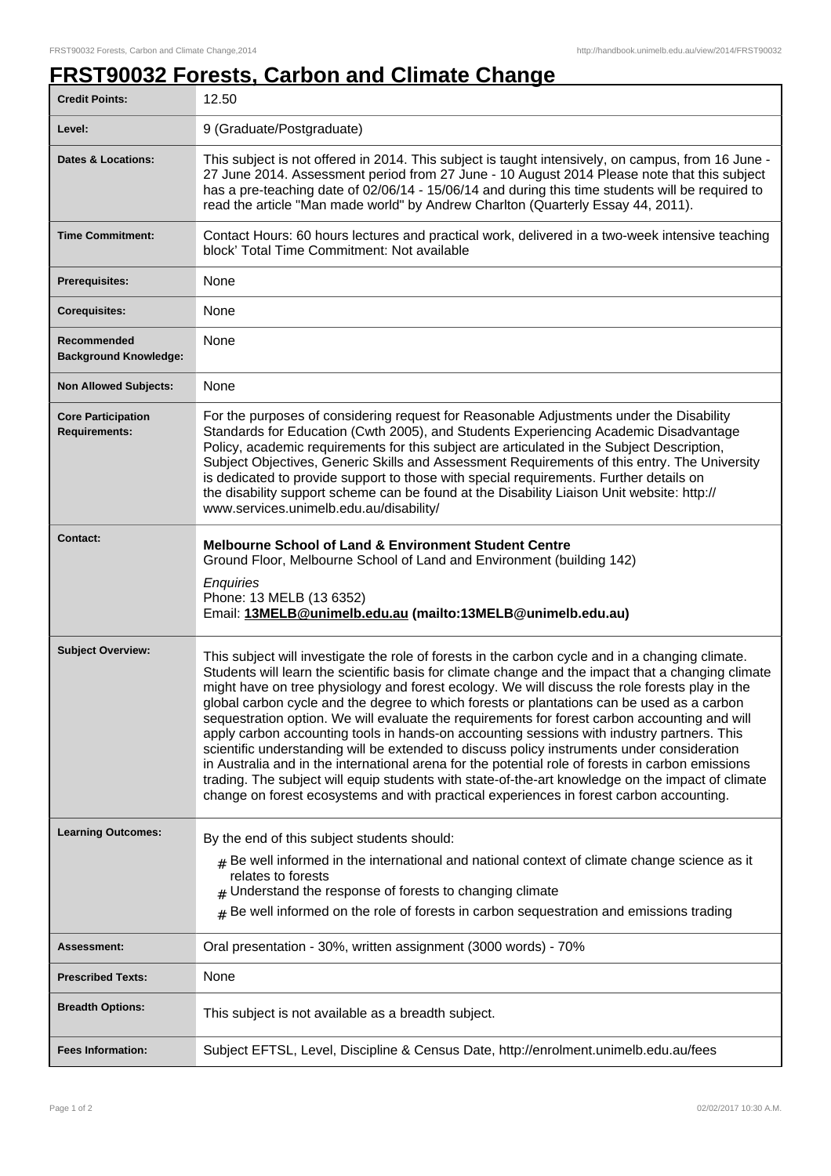## **FRST90032 Forests, Carbon and Climate Change**

| <b>Credit Points:</b>                             | 12.50                                                                                                                                                                                                                                                                                                                                                                                                                                                                                                                                                                                                                                                                                                                                                                                                                                                                                                                                                                                                     |
|---------------------------------------------------|-----------------------------------------------------------------------------------------------------------------------------------------------------------------------------------------------------------------------------------------------------------------------------------------------------------------------------------------------------------------------------------------------------------------------------------------------------------------------------------------------------------------------------------------------------------------------------------------------------------------------------------------------------------------------------------------------------------------------------------------------------------------------------------------------------------------------------------------------------------------------------------------------------------------------------------------------------------------------------------------------------------|
| Level:                                            | 9 (Graduate/Postgraduate)                                                                                                                                                                                                                                                                                                                                                                                                                                                                                                                                                                                                                                                                                                                                                                                                                                                                                                                                                                                 |
| <b>Dates &amp; Locations:</b>                     | This subject is not offered in 2014. This subject is taught intensively, on campus, from 16 June -<br>27 June 2014. Assessment period from 27 June - 10 August 2014 Please note that this subject<br>has a pre-teaching date of 02/06/14 - 15/06/14 and during this time students will be required to<br>read the article "Man made world" by Andrew Charlton (Quarterly Essay 44, 2011).                                                                                                                                                                                                                                                                                                                                                                                                                                                                                                                                                                                                                 |
| <b>Time Commitment:</b>                           | Contact Hours: 60 hours lectures and practical work, delivered in a two-week intensive teaching<br>block' Total Time Commitment: Not available                                                                                                                                                                                                                                                                                                                                                                                                                                                                                                                                                                                                                                                                                                                                                                                                                                                            |
| <b>Prerequisites:</b>                             | None                                                                                                                                                                                                                                                                                                                                                                                                                                                                                                                                                                                                                                                                                                                                                                                                                                                                                                                                                                                                      |
| <b>Corequisites:</b>                              | None                                                                                                                                                                                                                                                                                                                                                                                                                                                                                                                                                                                                                                                                                                                                                                                                                                                                                                                                                                                                      |
| Recommended<br><b>Background Knowledge:</b>       | None                                                                                                                                                                                                                                                                                                                                                                                                                                                                                                                                                                                                                                                                                                                                                                                                                                                                                                                                                                                                      |
| <b>Non Allowed Subjects:</b>                      | None                                                                                                                                                                                                                                                                                                                                                                                                                                                                                                                                                                                                                                                                                                                                                                                                                                                                                                                                                                                                      |
| <b>Core Participation</b><br><b>Requirements:</b> | For the purposes of considering request for Reasonable Adjustments under the Disability<br>Standards for Education (Cwth 2005), and Students Experiencing Academic Disadvantage<br>Policy, academic requirements for this subject are articulated in the Subject Description,<br>Subject Objectives, Generic Skills and Assessment Requirements of this entry. The University<br>is dedicated to provide support to those with special requirements. Further details on<br>the disability support scheme can be found at the Disability Liaison Unit website: http://<br>www.services.unimelb.edu.au/disability/                                                                                                                                                                                                                                                                                                                                                                                          |
| <b>Contact:</b>                                   | <b>Melbourne School of Land &amp; Environment Student Centre</b><br>Ground Floor, Melbourne School of Land and Environment (building 142)<br>Enquiries<br>Phone: 13 MELB (13 6352)<br>Email: 13MELB@unimelb.edu.au (mailto:13MELB@unimelb.edu.au)                                                                                                                                                                                                                                                                                                                                                                                                                                                                                                                                                                                                                                                                                                                                                         |
| <b>Subject Overview:</b>                          | This subject will investigate the role of forests in the carbon cycle and in a changing climate.<br>Students will learn the scientific basis for climate change and the impact that a changing climate<br>might have on tree physiology and forest ecology. We will discuss the role forests play in the<br>global carbon cycle and the degree to which forests or plantations can be used as a carbon<br>sequestration option. We will evaluate the requirements for forest carbon accounting and will<br>apply carbon accounting tools in hands-on accounting sessions with industry partners. This<br>scientific understanding will be extended to discuss policy instruments under consideration<br>in Australia and in the international arena for the potential role of forests in carbon emissions<br>trading. The subject will equip students with state-of-the-art knowledge on the impact of climate<br>change on forest ecosystems and with practical experiences in forest carbon accounting. |
| <b>Learning Outcomes:</b>                         | By the end of this subject students should:<br>$*$ Be well informed in the international and national context of climate change science as it<br>relates to forests<br>Understand the response of forests to changing climate<br>$#$ Be well informed on the role of forests in carbon sequestration and emissions trading                                                                                                                                                                                                                                                                                                                                                                                                                                                                                                                                                                                                                                                                                |
| Assessment:                                       | Oral presentation - 30%, written assignment (3000 words) - 70%                                                                                                                                                                                                                                                                                                                                                                                                                                                                                                                                                                                                                                                                                                                                                                                                                                                                                                                                            |
| <b>Prescribed Texts:</b>                          | None                                                                                                                                                                                                                                                                                                                                                                                                                                                                                                                                                                                                                                                                                                                                                                                                                                                                                                                                                                                                      |
| <b>Breadth Options:</b>                           | This subject is not available as a breadth subject.                                                                                                                                                                                                                                                                                                                                                                                                                                                                                                                                                                                                                                                                                                                                                                                                                                                                                                                                                       |
| <b>Fees Information:</b>                          | Subject EFTSL, Level, Discipline & Census Date, http://enrolment.unimelb.edu.au/fees                                                                                                                                                                                                                                                                                                                                                                                                                                                                                                                                                                                                                                                                                                                                                                                                                                                                                                                      |